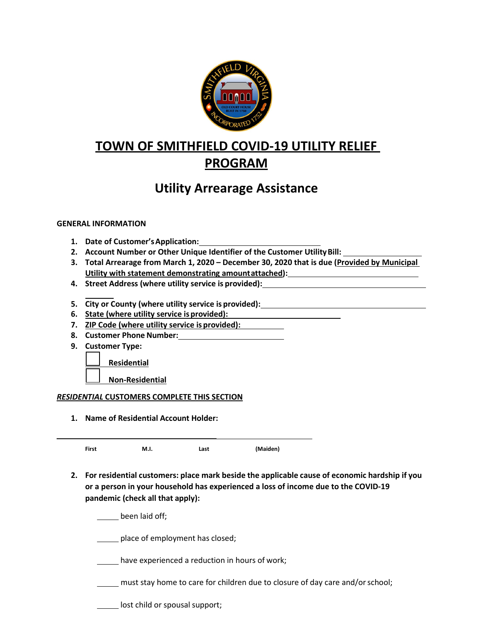

# **TOWN OF SMITHFIELD COVID‐19 UTILITY RELIEF PROGRAM**

## **Utility Arrearage Assistance**

## **GENERAL INFORMATION**

- **1. Date of Customer'sApplication:**
- **2. Account Number or Other Unique Identifier of the Customer UtilityBill:**
- **3. Total Arrearage from March 1, 2020 December 30, 2020 that is due (Provided by Municipal Utility with statement demonstrating amountattached):**
- **4. Street Address (where utility service is provided):**
- **5. City or County (where utility service is provided):**
- **6. State (where utility service isprovided):**
- **7. ZIP Code (where utility service is provided):**
- **8. Customer Phone Number:**
- **9. Customer Type:**

**Residential**

**Non‐Residential**

## *RESIDENTIAL* **CUSTOMERS COMPLETE THIS SECTION**

**1. Name of Residential Account Holder:**

**First M.I. Last (Maiden)**

**2. For residential customers: place mark beside the applicable cause of economic hardship if you or a person in your household has experienced a loss of income due to the COVID‐19 pandemic (check all that apply):**

been laid off;

place of employment has closed;

have experienced a reduction in hours of work;

must stay home to care for children due to closure of day care and/orschool;

**lost child or spousal support;**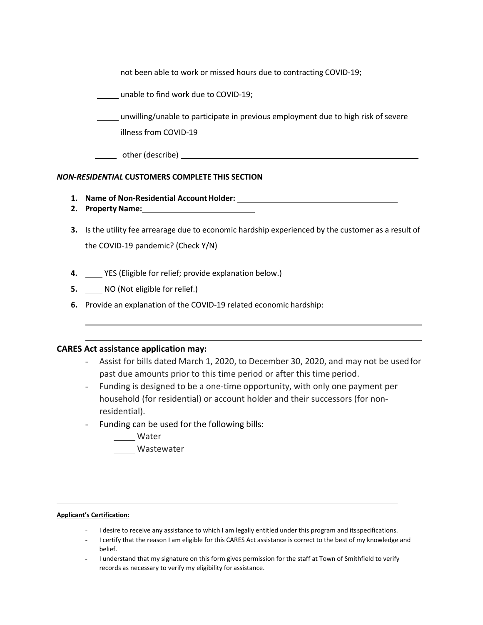not been able to work or missed hours due to contracting COVID‐19;

unable to find work due to COVID‐19;

unwilling/unable to participate in previous employment due to high risk of severe illness from COVID‐19

other (describe)

### *NON‐RESIDENTIAL* **CUSTOMERS COMPLETE THIS SECTION**

- **1. Name of Non‐Residential AccountHolder:**
- **2. Property Name:**
- **3.** Is the utility fee arrearage due to economic hardship experienced by the customer as a result of the COVID‐19 pandemic? (Check Y/N)
- **4.** YES (Eligible for relief; provide explanation below.)
- **5.** MO (Not eligible for relief.)
- **6.** Provide an explanation of the COVID‐19 related economic hardship:

### **CARES Act assistance application may:**

- Assist for bills dated March 1, 2020, to December 30, 2020, and may not be usedfor past due amounts prior to this time period or after this time period.
- Funding is designed to be a one‐time opportunity, with only one payment per household (for residential) or account holder and their successors (for non‐ residential).
- Funding can be used for the following bills:
	- **Water**

Wastewater

#### **Applicant's Certification:**

- I desire to receive any assistance to which I am legally entitled under this program and its specifications.
- I certify that the reason I am eligible for this CARES Act assistance is correct to the best of my knowledge and belief.
- I understand that my signature on this form gives permission for the staff at Town of Smithfield to verify records as necessary to verify my eligibility for assistance.